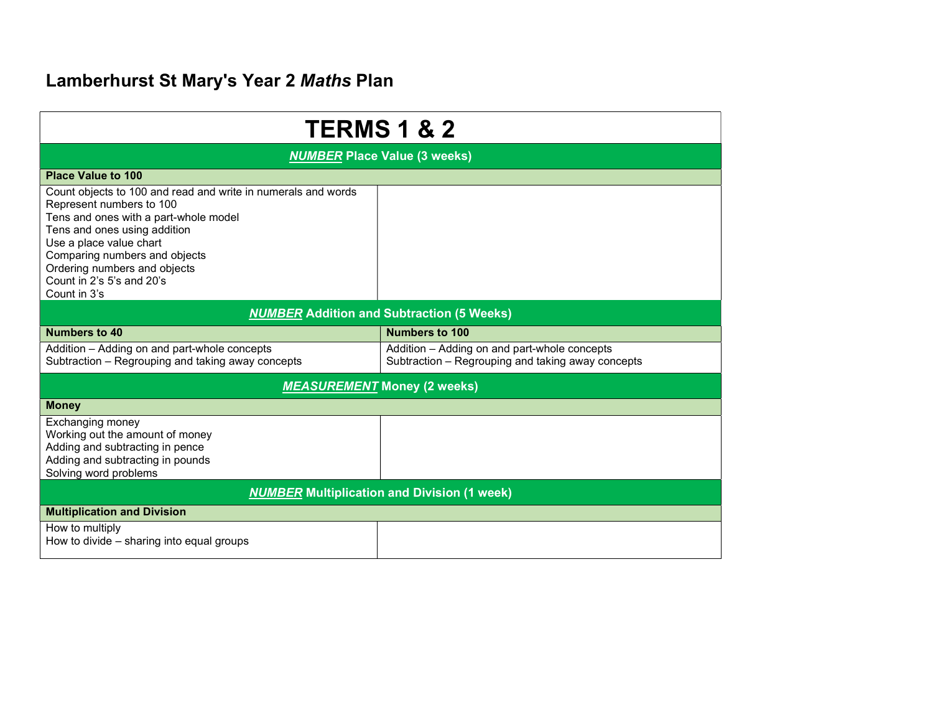## Lamberhurst St Mary's Year 2 Maths Plan

| <b>TERMS 1 &amp; 2</b>                                                                                                                                                                                                                                                                                      |                                                                                                   |  |  |
|-------------------------------------------------------------------------------------------------------------------------------------------------------------------------------------------------------------------------------------------------------------------------------------------------------------|---------------------------------------------------------------------------------------------------|--|--|
| <b>NUMBER Place Value (3 weeks)</b>                                                                                                                                                                                                                                                                         |                                                                                                   |  |  |
| <b>Place Value to 100</b>                                                                                                                                                                                                                                                                                   |                                                                                                   |  |  |
| Count objects to 100 and read and write in numerals and words<br>Represent numbers to 100<br>Tens and ones with a part-whole model<br>Tens and ones using addition<br>Use a place value chart<br>Comparing numbers and objects<br>Ordering numbers and objects<br>Count in 2's 5's and 20's<br>Count in 3's |                                                                                                   |  |  |
| <b>NUMBER</b> Addition and Subtraction (5 Weeks)                                                                                                                                                                                                                                                            |                                                                                                   |  |  |
| <b>Numbers to 40</b>                                                                                                                                                                                                                                                                                        | <b>Numbers to 100</b>                                                                             |  |  |
| Addition - Adding on and part-whole concepts<br>Subtraction - Regrouping and taking away concepts                                                                                                                                                                                                           | Addition - Adding on and part-whole concepts<br>Subtraction - Regrouping and taking away concepts |  |  |
| <b>MEASUREMENT Money (2 weeks)</b>                                                                                                                                                                                                                                                                          |                                                                                                   |  |  |
| <b>Money</b>                                                                                                                                                                                                                                                                                                |                                                                                                   |  |  |
| Exchanging money<br>Working out the amount of money<br>Adding and subtracting in pence<br>Adding and subtracting in pounds<br>Solving word problems                                                                                                                                                         |                                                                                                   |  |  |
| <b>NUMBER Multiplication and Division (1 week)</b>                                                                                                                                                                                                                                                          |                                                                                                   |  |  |
| <b>Multiplication and Division</b>                                                                                                                                                                                                                                                                          |                                                                                                   |  |  |
| How to multiply<br>How to divide – sharing into equal groups                                                                                                                                                                                                                                                |                                                                                                   |  |  |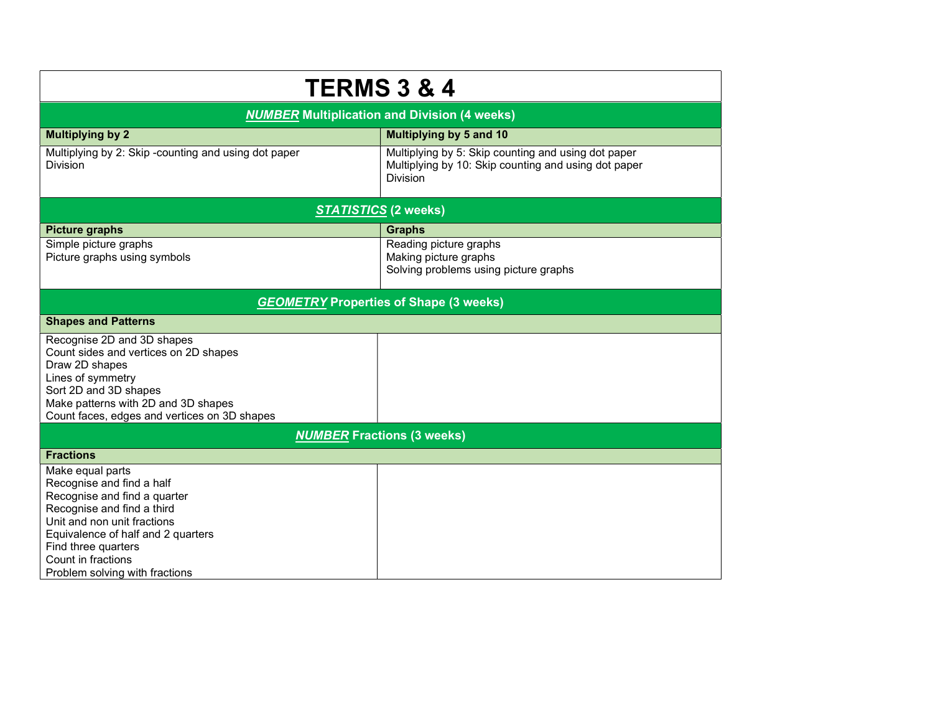| <b>TERMS 3 &amp; 4</b>                                                 |                                                                                                                                |  |  |
|------------------------------------------------------------------------|--------------------------------------------------------------------------------------------------------------------------------|--|--|
| <b>NUMBER Multiplication and Division (4 weeks)</b>                    |                                                                                                                                |  |  |
| <b>Multiplying by 2</b>                                                | <b>Multiplying by 5 and 10</b>                                                                                                 |  |  |
| Multiplying by 2: Skip-counting and using dot paper<br><b>Division</b> | Multiplying by 5: Skip counting and using dot paper<br>Multiplying by 10: Skip counting and using dot paper<br><b>Division</b> |  |  |
| <b>STATISTICS (2 weeks)</b>                                            |                                                                                                                                |  |  |
| <b>Picture graphs</b>                                                  | <b>Graphs</b>                                                                                                                  |  |  |
| Simple picture graphs                                                  | Reading picture graphs                                                                                                         |  |  |
| Picture graphs using symbols                                           | Making picture graphs                                                                                                          |  |  |
|                                                                        | Solving problems using picture graphs                                                                                          |  |  |
| <b>GEOMETRY Properties of Shape (3 weeks)</b>                          |                                                                                                                                |  |  |
| <b>Shapes and Patterns</b>                                             |                                                                                                                                |  |  |
| Recognise 2D and 3D shapes                                             |                                                                                                                                |  |  |
| Count sides and vertices on 2D shapes                                  |                                                                                                                                |  |  |
| Draw 2D shapes                                                         |                                                                                                                                |  |  |
| Lines of symmetry<br>Sort 2D and 3D shapes                             |                                                                                                                                |  |  |
| Make patterns with 2D and 3D shapes                                    |                                                                                                                                |  |  |
| Count faces, edges and vertices on 3D shapes                           |                                                                                                                                |  |  |
| <b>NUMBER Fractions (3 weeks)</b>                                      |                                                                                                                                |  |  |
| <b>Fractions</b>                                                       |                                                                                                                                |  |  |
| Make equal parts                                                       |                                                                                                                                |  |  |
| Recognise and find a half                                              |                                                                                                                                |  |  |
| Recognise and find a quarter                                           |                                                                                                                                |  |  |
| Recognise and find a third<br>Unit and non unit fractions              |                                                                                                                                |  |  |
| Equivalence of half and 2 quarters                                     |                                                                                                                                |  |  |
| Find three quarters                                                    |                                                                                                                                |  |  |
| Count in fractions                                                     |                                                                                                                                |  |  |
| Problem solving with fractions                                         |                                                                                                                                |  |  |